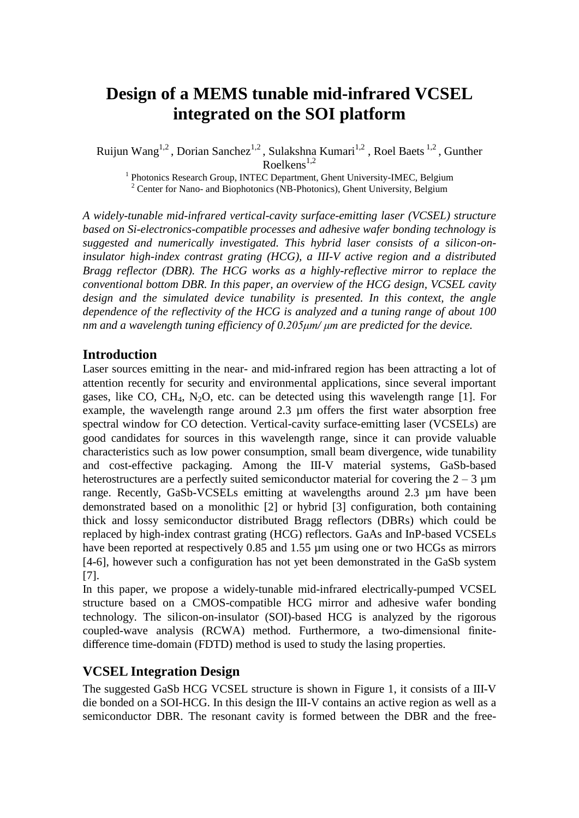# **Design of a MEMS tunable mid-infrared VCSEL integrated on the SOI platform**

Ruijun Wang<sup>1,2</sup>, Dorian Sanchez<sup>1,2</sup>, Sulakshna Kumari<sup>1,2</sup>, Roel Baets<sup>1,2</sup>, Gunther  $R$ oelkens<sup>1,2</sup>

<sup>1</sup> Photonics Research Group, INTEC Department, Ghent University-IMEC, Belgium  $2$  Center for Nano- and Biophotonics (NB-Photonics), Ghent University, Belgium

*A widely-tunable mid-infrared vertical-cavity surface-emitting laser (VCSEL) structure based on Si-electronics-compatible processes and adhesive wafer bonding technology is suggested and numerically investigated. This hybrid laser consists of a silicon-oninsulator high-index contrast grating (HCG), a III-V active region and a distributed Bragg reflector (DBR). The HCG works as a highly-reflective mirror to replace the conventional bottom DBR. In this paper, an overview of the HCG design, VCSEL cavity design and the simulated device tunability is presented. In this context, the angle dependence of the reflectivity of the HCG is analyzed and a tuning range of about 100 nm and a wavelength tuning efficiency of 0.205μm/ μm are predicted for the device.*

## **Introduction**

Laser sources emitting in the near- and mid-infrared region has been attracting a lot of attention recently for security and environmental applications, since several important gases, like CO, CH<sub>4</sub>, N<sub>2</sub>O, etc. can be detected using this wavelength range [1]. For example, the wavelength range around 2.3 µm offers the first water absorption free spectral window for CO detection. Vertical-cavity surface-emitting laser (VCSELs) are good candidates for sources in this wavelength range, since it can provide valuable characteristics such as low power consumption, small beam divergence, wide tunability and cost-effective packaging. Among the III-V material systems, GaSb-based heterostructures are a perfectly suited semiconductor material for covering the  $2 - 3 \mu m$ range. Recently, GaSb-VCSELs emitting at wavelengths around 2.3 µm have been demonstrated based on a monolithic [2] or hybrid [3] configuration, both containing thick and lossy semiconductor distributed Bragg reflectors (DBRs) which could be replaced by high-index contrast grating (HCG) reflectors. GaAs and InP-based VCSELs have been reported at respectively 0.85 and 1.55 µm using one or two HCGs as mirrors [4-6], however such a configuration has not yet been demonstrated in the GaSb system [7].

In this paper, we propose a widely-tunable mid-infrared electrically-pumped VCSEL structure based on a CMOS-compatible HCG mirror and adhesive wafer bonding technology. The silicon-on-insulator (SOI)-based HCG is analyzed by the rigorous coupled-wave analysis (RCWA) method. Furthermore, a two-dimensional finitedifference time-domain (FDTD) method is used to study the lasing properties.

# **VCSEL Integration Design**

The suggested GaSb HCG VCSEL structure is shown in Figure 1, it consists of a III-V die bonded on a SOI-HCG. In this design the III-V contains an active region as well as a semiconductor DBR. The resonant cavity is formed between the DBR and the free-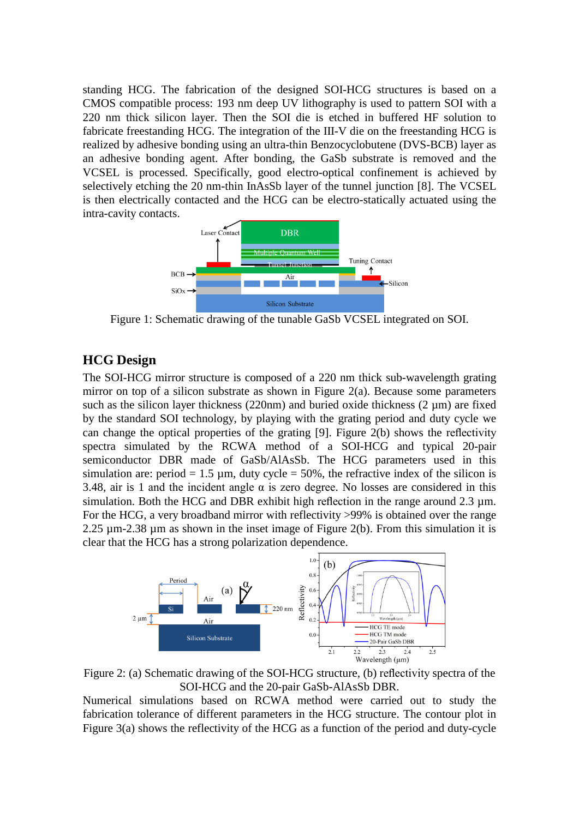standing HCG. The fabrication of the designed SOI-HCG structures is based on a CMOS compatible process: 193 nm deep UV lithography is used to pattern SOI with a 220 nm thick silicon layer. Then the SOI die is etched in buffered HF solution to fabricate freestanding HCG. The integration of the III-V die on the freestanding HCG is realized by adhesive bonding using an ultra-thin Benzocyclobutene (DVS-BCB) layer as an adhesive bonding agent. After bonding, the GaSb substrate is removed and the VCSEL is processed. Specifically, good electro-optical confinement is achieved by selectively etching the 20 nm-thin InAsSb layer of the tunnel junction [8]. The VCSEL is then electrically contacted and the HCG can be electro-statically actuated using the intra-cavity contacts.



Figure 1: Schematic drawing of the tunable GaSb VCSEL integrated on SOI.

# **HCG Design**

The SOI-HCG mirror structure is composed of a 220 nm thick sub-wavelength grating mirror on top of a silicon substrate as shown in Figure 2(a). Because some parameters such as the silicon layer thickness (220nm) and buried oxide thickness (2  $\mu$ m) are fixed by the standard SOI technology, by playing with the grating period and duty cycle we can change the optical properties of the grating [9]. Figure 2(b) shows the reflectivity spectra simulated by the RCWA method of a SOI-HCG and typical 20-pair semiconductor DBR made of GaSb/AlAsSb. The HCG parameters used in this simulation are: period  $= 1.5 \mu m$ , duty cycle  $= 50\%$ , the refractive index of the silicon is 3.48, air is 1 and the incident angle  $\alpha$  is zero degree. No losses are considered in this simulation. Both the HCG and DBR exhibit high reflection in the range around  $2.3 \mu m$ . For the HCG, a very broadband mirror with reflectivity >99% is obtained over the range 2.25  $\mu$ m-2.38  $\mu$ m as shown in the inset image of Figure 2(b). From this simulation it is clear that the HCG has a strong polarization dependence.



Figure 2: (a) Schematic drawing of the SOI-HCG structure, (b) reflectivity spectra of the SOI-HCG and the 20-pair GaSb-AlAsSb DBR.

Numerical simulations based on RCWA method were carried out to study the fabrication tolerance of different parameters in the HCG structure. The contour plot in Figure 3(a) shows the reflectivity of the HCG as a function of the period and duty-cycle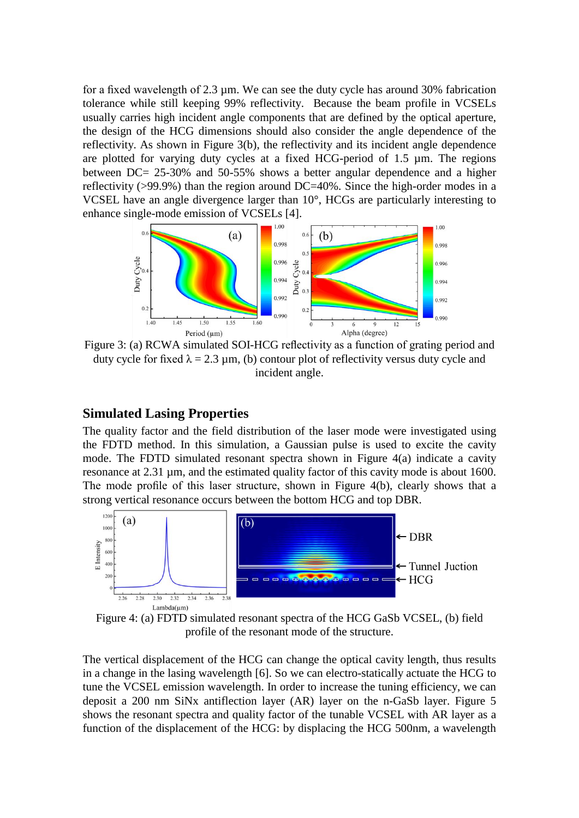for a fixed wavelength of 2.3 µm. We can see the duty cycle has around 30% fabrication tolerance while still keeping 99% reflectivity. Because the beam profile in VCSELs usually carries high incident angle components that are defined by the optical aperture, the design of the HCG dimensions should also consider the angle dependence of the reflectivity. As shown in Figure 3(b), the reflectivity and its incident angle dependence are plotted for varying duty cycles at a fixed HCG-period of 1.5 µm. The regions between DC= 25-30% and 50-55% shows a better angular dependence and a higher reflectivity (>99.9%) than the region around DC=40%. Since the high-order modes in a VCSEL have an angle divergence larger than 10°, HCGs are particularly interesting to enhance single-mode emission of VCSELs [4].



Figure 3: (a) RCWA simulated SOI-HCG reflectivity as a function of grating period and duty cycle for fixed  $\lambda = 2.3 \mu m$ , (b) contour plot of reflectivity versus duty cycle and incident angle.

## **Simulated Lasing Properties**

The quality factor and the field distribution of the laser mode were investigated using the FDTD method. In this simulation, a Gaussian pulse is used to excite the cavity mode. The FDTD simulated resonant spectra shown in Figure 4(a) indicate a cavity resonance at 2.31 µm, and the estimated quality factor of this cavity mode is about 1600. The mode profile of this laser structure, shown in Figure 4(b), clearly shows that a strong vertical resonance occurs between the bottom HCG and top DBR.



Figure 4: (a) FDTD simulated resonant spectra of the HCG GaSb VCSEL, (b) field profile of the resonant mode of the structure.

The vertical displacement of the HCG can change the optical cavity length, thus results in a change in the lasing wavelength [6]. So we can electro-statically actuate the HCG to tune the VCSEL emission wavelength. In order to increase the tuning efficiency, we can deposit a 200 nm SiNx antiflection layer (AR) layer on the n-GaSb layer. Figure 5 shows the resonant spectra and quality factor of the tunable VCSEL with AR layer as a function of the displacement of the HCG: by displacing the HCG 500nm, a wavelength